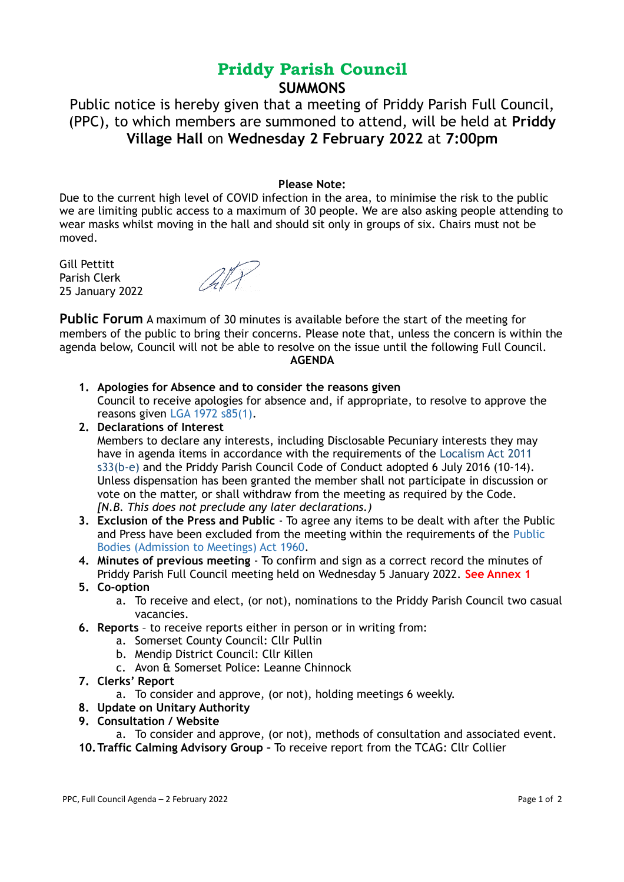# **Priddy Parish Council SUMMONS**

Public notice is hereby given that a meeting of Priddy Parish Full Council, (PPC), to which members are summoned to attend, will be held at **Priddy Village Hall** on **Wednesday 2 February 2022** at **7:00pm**

## **Please Note:**

Due to the current high level of COVID infection in the area, to minimise the risk to the public we are limiting public access to a maximum of 30 people. We are also asking people attending to wear masks whilst moving in the hall and should sit only in groups of six. Chairs must not be moved.

Gill Pettitt Parish Clerk 25 January 2022

ATT

**Public Forum** A maximum of 30 minutes is available before the start of the meeting for members of the public to bring their concerns. Please note that, unless the concern is within the agenda below, Council will not be able to resolve on the issue until the following Full Council. **AGENDA**

- **1. Apologies for Absence and to consider the reasons given**  Council to receive apologies for absence and, if appropriate, to resolve to approve the reasons given LGA 1972 s85(1).
- **2. Declarations of Interest**  Members to declare any interests, including Disclosable Pecuniary interests they may have in agenda items in accordance with the requirements of the Localism Act 2011 s33(b-e) and the Priddy Parish Council Code of Conduct adopted 6 July 2016 (10-14). Unless dispensation has been granted the member shall not participate in discussion or vote on the matter, or shall withdraw from the meeting as required by the Code. *[N.B. This does not preclude any later declarations.)*
- **3. Exclusion of the Press and Public** To agree any items to be dealt with after the Public and Press have been excluded from the meeting within the requirements of the Public Bodies (Admission to Meetings) Act 1960.
- **4. Minutes of previous meeting** To confirm and sign as a correct record the minutes of Priddy Parish Full Council meeting held on Wednesday 5 January 2022. **See Annex 1**
- **5. Co-option**
	- a. To receive and elect, (or not), nominations to the Priddy Parish Council two casual vacancies.
- **6. Reports** to receive reports either in person or in writing from:
	- a. Somerset County Council: Cllr Pullin
	- b. Mendip District Council: Cllr Killen
	- c. Avon & Somerset Police: Leanne Chinnock
- **7. Clerks' Report** 
	- a. To consider and approve, (or not), holding meetings 6 weekly.
- **8. Update on Unitary Authority**
- **9. Consultation / Website**
	- a. To consider and approve, (or not), methods of consultation and associated event.
- **10.Traffic Calming Advisory Group** To receive report from the TCAG: Cllr Collier